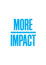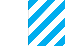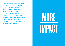Resolutions are so last year. In 2013, let's have 'New Year's inspirations' instead. Here are eight examples from More Partnership to get you started. Some we've been personally involved in. Others are simply stories that have inspired us over the last 12 months. All are reminders that raising funds is just the beginning. What really matters is *impact*. So here's wishing you more gifts and more impact for 2013.

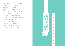1,450 midwives. That's how many AMREF has started training so far. The health charity launched its Stand Up for African Mothers campaign in 2012 because 177,000 women die giving birth across the continent each year, many simply for want of the most basic medical care. AMREF reckons that, if it can train 15,000 midwives by 2015, it will save 45,000 lives a year – and hundreds of thousands of children from orphanhood.

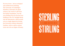No ivory tower… but an ecological and architectural unfurling. The University of Cambridge's Sainsbury Laboratory for plant sciences, the result of a gift from the Gatsby Foundation, won the 2012 Stirling Prize for the best new building in the UK. Daylight floods into the laboratories, which stretch out on a single elegant level along the University's historic Botanical Gardens. And so a gift to science turns out to be an engine of beauty.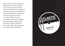Back in 1968, a record-company boss invested \$200,000 in a new band. In 2007, the year after his death, the group reformed for one night only, with profits going to their benefactor's educational foundation. And in 2012, a new investment was made in a new group. This time it was a £26 million endowment for brilliant young humanities scholars at the University of Oxford. All thanks to an "angel" called Ahmed Ertegun and a band called Led Zeppelin.

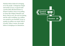Nicholas Sekers believed in bringing art to the people. A Hungarian émigré and textiles tycoon, in 1959 he built a perfect little silk-lined theatre in deepest Cumbria. Soon it was pulling in names like Gielgud, Menuhin and Bowie. But by 2012, the roof was leaking and the walls crumbling. £4.5 million was needed to save Rosehill. In just 12 months £4 million was raised, half of it locally. Today, it seems, the people believe in bringing art to themselves.

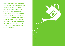When a multinational oil consortium illegally entered the territory of Bolivia's Guaraní tribes in 1997, it looked like the same old story… Big business wins. Indigenous people lose. But human rights charity, Equipo Nizkor, has helped to negotiate a settlement that meets all the Guaraní's demands. Now a traditional "Council of Sages" is managing a \$14.8 million Guaraní investment fund. And the oil giants have guaranteed to return the land to its original state.

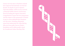Cancer survival rates in Northern Ireland have improved dramatically over the last decade. It's thanks in part to Queen's University Belfast, which in 2012 received a Diamond Jubilee Queen's Anniversary Prize for leading the region's innovative Comprehensive Cancer Services programme. And the impact of the programme is thanks in part to many philanthropic donations over the years, including substantial sums from industrialist Sir Allen McClay, £80,000 from golfer Darren Clarke's foundation and £1,868 proudly raised by Crossdernott Indoor Bowling Club.

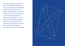When Mrs Linklater retired in 2012 as head of Hermitage Park School, she was serenaded by the Edinburgh primary's choir and wind band. But the staff and pupils also clubbed together to buy her a star: Star BB11 – on the ceiling of the Scottish National Portrait Gallery. It is one among a whole painted firmament that has now raised £175,000 for the museum's education programme. Thus Mrs Linklater's impact on learning shines on beyond retirement.

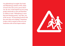Can philanthropy be taught? The Youth and Philanthropy Initiative (YPI), which arrived in the UK in 2007, proves that it can. By 2012, it had inspired 40,000 young people nationwide to raise and distribute £1 million in total. "Philanthropy is more than just donating money," says Max, one of the 40,000. "It's becoming involved with the cause that you're helping." Sometimes it takes a kid to remind us that we're not fundraisers after all but impact-makers.

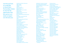Last but not least, we would like to thank More Partnership's clients in 2012 for the opportunity they have given us to make an impact over the last year.

Aberdeen Art Gallery & Museums Aiglon College Alleyn's School AMREF Aston University Battersea Arts Centre Bedales School Birkbeck, University of London Bolton School Brighton College Brighton Dome and Festival Ltd. Brunel University Bruno Schroder Benchmarking Project Camara Cambridge University Boat Club Cancer Research UK CASE Central School of Speech & Drama Channing School Charterhouse Chichester Festival Theatre Children on the Edge Christ's Hospital Church of England Pensions Board City University London Community Service Volunteers Deborah Day Theatre School Trust De Montfort University Dragon School Durham Cathedral École Polytechnique EDHEC Business School Equipo Nizkor European Humanities University Euroscience Open Forum Fettes Foundation Fondation AlphaOmega Fondation ARC Fondation des Ponts Fondation Palladio France Initiative Girls' Day School Trust The Godolphin and Latymer School

Goldsmiths, University of London The Gresham's Holt Foundation Groupe hospitalier Paris Saint-Joseph Headington School **HEFCE** Heriot-Watt University Institute of Cancer Research Institute of Education Institute of Physics Institution of Chemical Engineers Inter-Community School, Zurich The Kew Foundation K.U. Leuven King's College London Lancing College Latymer Upper School LEAP Liverpool & Merseyside Theatres Trust London School of Economics London Symphony Orchestra Makunduchi Project Medical Research Council Unit, The Gambia Merton College, Oxford Middlesex University Moorfields Eye Hospital Murray Edwards College, Cambridge Music First The National Archives Newnham College, Cambridge NHS Lothian Norwich School Plymouth University Queens' College, Cambridge Regent's College London Reliable Cancer Therapies Rosehill Theatre Royal Agricultural College Royal College of Psychiatrists Royal Grammar School, Guildford Foundation The Royal Pavillion & Museums Foundation

The Royal Society Royal Society of Literature St Albans School St Anne's College, Oxford St Catharine's College, Cambridge St John's College, Cambridge St Peter's College, Oxford Science Museum Group Sense About Science SOAS, University of London Soho Theatre Somerville College, Oxford Stellenbosch University The Stephen Perse Foundation Supélec Swindon Dance Teach First Toynbee Hall The Tricycle Theatre Università Commerciale Luigi Bocconi Universiteit Utrecht University College London University of Cambridge University of Derby University of East Anglia University of Edinburgh University of Essex University of Leeds University of Nottingham University of Oxford University of Sussex University of Ulster University of Westminster YMCA London South West Young Vic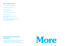## **More Information**

www.standupforafricanmothers.com ribastirlingprize.architecture.com www.ox.ac.uk/ertegun www.rosehilltheatre.co.uk www.derechos.org/nizkor/eng.html www.qub.ac.uk/ccrcb www.nationalgalleries.org/supportus/ gallery-of-stars www.instituteforphilanthropy.org/content/ Youth-Philanthropy-Initiative

## **Fundraising Consultants. And More.**

More Partnership Ltd, 31 Exchange Street, Dundee DD1 3DJ +44 (0)1382 224 730 | info@morepartnership.com morepartnership.com | Registered in Scotland SC 216234